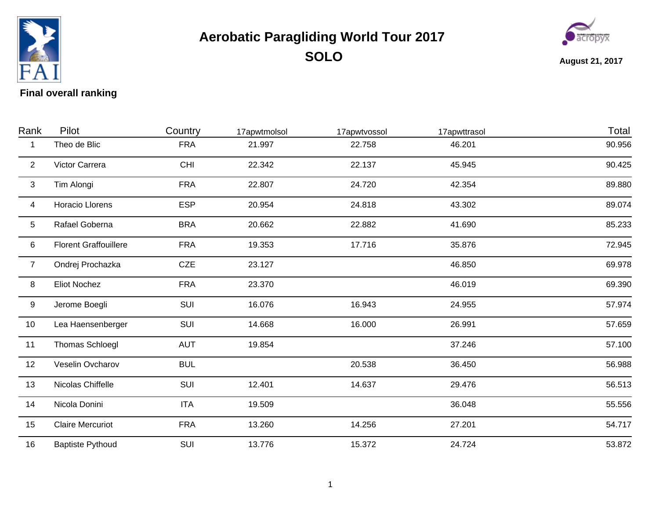

## **Aerobatic Paragliding World Tour 2017 SOLO**



**August 21, 2017**

## **Final overall ranking**

| Rank           | Pilot                        | Country    | 17apwtmolsol | 17apwtvossol | 17apwttrasol | Total  |
|----------------|------------------------------|------------|--------------|--------------|--------------|--------|
| 1              | Theo de Blic                 | <b>FRA</b> | 21.997       | 22.758       | 46.201       | 90.956 |
| 2              | Victor Carrera               | CHI        | 22.342       | 22.137       | 45.945       | 90.425 |
| $\mathbf{3}$   | Tim Alongi                   | <b>FRA</b> | 22.807       | 24.720       | 42.354       | 89.880 |
| 4              | Horacio Llorens              | <b>ESP</b> | 20.954       | 24.818       | 43.302       | 89.074 |
| 5              | Rafael Goberna               | <b>BRA</b> | 20.662       | 22.882       | 41.690       | 85.233 |
| 6              | <b>Florent Graffouillere</b> | <b>FRA</b> | 19.353       | 17.716       | 35.876       | 72.945 |
| $\overline{7}$ | Ondrej Prochazka             | CZE        | 23.127       |              | 46.850       | 69.978 |
| 8              | <b>Eliot Nochez</b>          | <b>FRA</b> | 23.370       |              | 46.019       | 69.390 |
| 9              | Jerome Boegli                | SUI        | 16.076       | 16.943       | 24.955       | 57.974 |
| 10             | Lea Haensenberger            | SUI        | 14.668       | 16.000       | 26.991       | 57.659 |
| 11             | Thomas Schloegl              | <b>AUT</b> | 19.854       |              | 37.246       | 57.100 |
| 12             | Veselin Ovcharov             | <b>BUL</b> |              | 20.538       | 36.450       | 56.988 |
| 13             | Nicolas Chiffelle            | SUI        | 12.401       | 14.637       | 29.476       | 56.513 |
| 14             | Nicola Donini                | <b>ITA</b> | 19.509       |              | 36.048       | 55.556 |
| 15             | <b>Claire Mercuriot</b>      | <b>FRA</b> | 13.260       | 14.256       | 27.201       | 54.717 |
| 16             | <b>Baptiste Pythoud</b>      | SUI        | 13.776       | 15.372       | 24.724       | 53.872 |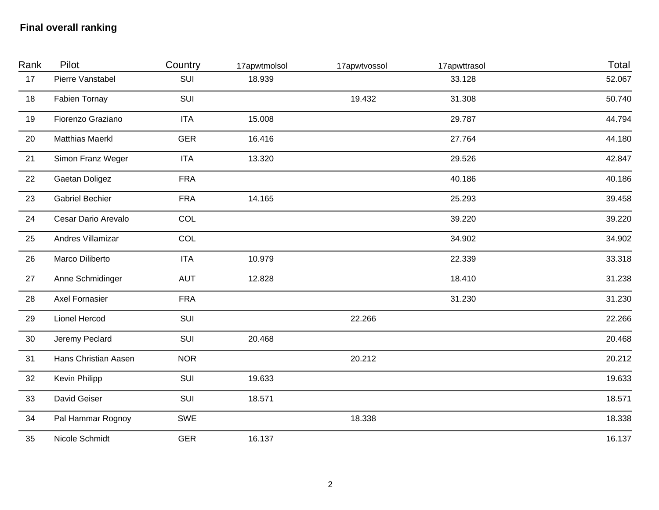## **Final overall ranking**

| Rank | Pilot                  | Country    | 17apwtmolsol | 17apwtvossol | 17apwttrasol | Total  |
|------|------------------------|------------|--------------|--------------|--------------|--------|
| 17   | Pierre Vanstabel       | SUI        | 18.939       |              | 33.128       | 52.067 |
| 18   | <b>Fabien Tornay</b>   | SUI        |              | 19.432       | 31.308       | 50.740 |
| 19   | Fiorenzo Graziano      | <b>ITA</b> | 15.008       |              | 29.787       | 44.794 |
| 20   | <b>Matthias Maerkl</b> | <b>GER</b> | 16.416       |              | 27.764       | 44.180 |
| 21   | Simon Franz Weger      | <b>ITA</b> | 13.320       |              | 29.526       | 42.847 |
| 22   | Gaetan Doligez         | <b>FRA</b> |              |              | 40.186       | 40.186 |
| 23   | <b>Gabriel Bechier</b> | <b>FRA</b> | 14.165       |              | 25.293       | 39.458 |
| 24   | Cesar Dario Arevalo    | COL        |              |              | 39.220       | 39.220 |
| 25   | Andres Villamizar      | COL        |              |              | 34.902       | 34.902 |
| 26   | Marco Diliberto        | <b>ITA</b> | 10.979       |              | 22.339       | 33.318 |
| 27   | Anne Schmidinger       | <b>AUT</b> | 12.828       |              | 18.410       | 31.238 |
| 28   | <b>Axel Fornasier</b>  | <b>FRA</b> |              |              | 31.230       | 31.230 |
| 29   | Lionel Hercod          | SUI        |              | 22.266       |              | 22.266 |
| 30   | Jeremy Peclard         | SUI        | 20.468       |              |              | 20.468 |
| 31   | Hans Christian Aasen   | <b>NOR</b> |              | 20.212       |              | 20.212 |
| 32   | Kevin Philipp          | SUI        | 19.633       |              |              | 19.633 |
| 33   | David Geiser           | SUI        | 18.571       |              |              | 18.571 |
| 34   | Pal Hammar Rognoy      | SWE        |              | 18.338       |              | 18.338 |
| 35   | Nicole Schmidt         | <b>GER</b> | 16.137       |              |              | 16.137 |